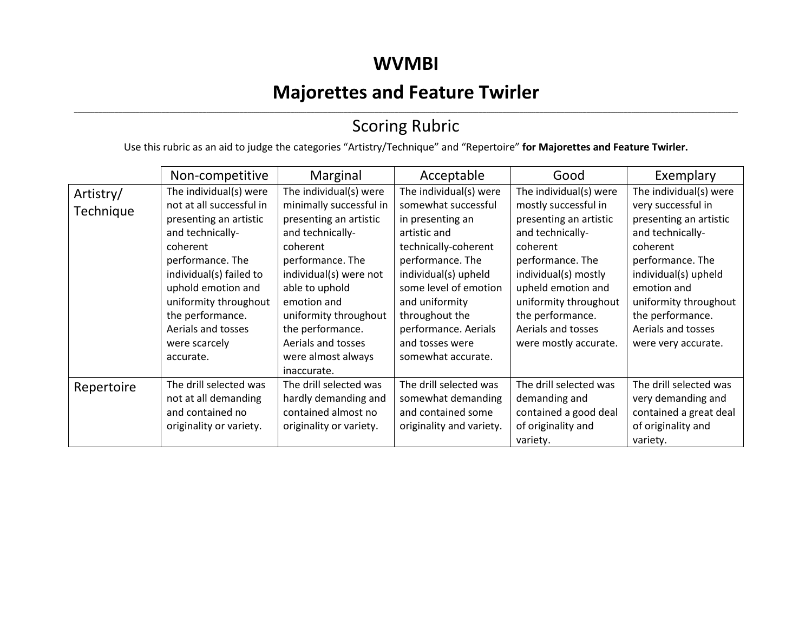### **WVMBI**

# **Majorettes and Feature Twirler**

### ,我们也不会不会不会。""我们的,我们也不会不会不会不会不会不会不会不会。""我们的,我们也不会不会不会不会不会不会不会不会。""我们的,我们也不会不会不会不会 Scoring Rubric

Use this rubric as an aid to judge the categories "Artistry/Technique" and "Repertoire" **for Majorettes and Feature Twirler.**

|                        | Non-competitive                                                                                                                                                                                                                                                                    | Marginal                                                                                                                                                                                                                                                                                           | Acceptable                                                                                                                                                                                                                                                                          | Good                                                                                                                                                                                                                                                                   | Exemplary                                                                                                                                                                                                                                                   |
|------------------------|------------------------------------------------------------------------------------------------------------------------------------------------------------------------------------------------------------------------------------------------------------------------------------|----------------------------------------------------------------------------------------------------------------------------------------------------------------------------------------------------------------------------------------------------------------------------------------------------|-------------------------------------------------------------------------------------------------------------------------------------------------------------------------------------------------------------------------------------------------------------------------------------|------------------------------------------------------------------------------------------------------------------------------------------------------------------------------------------------------------------------------------------------------------------------|-------------------------------------------------------------------------------------------------------------------------------------------------------------------------------------------------------------------------------------------------------------|
| Artistry/<br>Technique | The individual(s) were<br>not at all successful in<br>presenting an artistic<br>and technically-<br>coherent<br>performance. The<br>individual(s) failed to<br>uphold emotion and<br>uniformity throughout<br>the performance.<br>Aerials and tosses<br>were scarcely<br>accurate. | The individual(s) were<br>minimally successful in<br>presenting an artistic<br>and technically-<br>coherent<br>performance. The<br>individual(s) were not<br>able to uphold<br>emotion and<br>uniformity throughout<br>the performance.<br>Aerials and tosses<br>were almost always<br>inaccurate. | The individual(s) were<br>somewhat successful<br>in presenting an<br>artistic and<br>technically-coherent<br>performance. The<br>individual(s) upheld<br>some level of emotion<br>and uniformity<br>throughout the<br>performance. Aerials<br>and tosses were<br>somewhat accurate. | The individual(s) were<br>mostly successful in<br>presenting an artistic<br>and technically-<br>coherent<br>performance. The<br>individual(s) mostly<br>upheld emotion and<br>uniformity throughout<br>the performance.<br>Aerials and tosses<br>were mostly accurate. | The individual(s) were<br>very successful in<br>presenting an artistic<br>and technically-<br>coherent<br>performance. The<br>individual(s) upheld<br>emotion and<br>uniformity throughout<br>the performance.<br>Aerials and tosses<br>were very accurate. |
| Repertoire             | The drill selected was<br>not at all demanding<br>and contained no<br>originality or variety.                                                                                                                                                                                      | The drill selected was<br>hardly demanding and<br>contained almost no<br>originality or variety.                                                                                                                                                                                                   | The drill selected was<br>somewhat demanding<br>and contained some<br>originality and variety.                                                                                                                                                                                      | The drill selected was<br>demanding and<br>contained a good deal<br>of originality and<br>variety.                                                                                                                                                                     | The drill selected was<br>very demanding and<br>contained a great deal<br>of originality and<br>variety.                                                                                                                                                    |